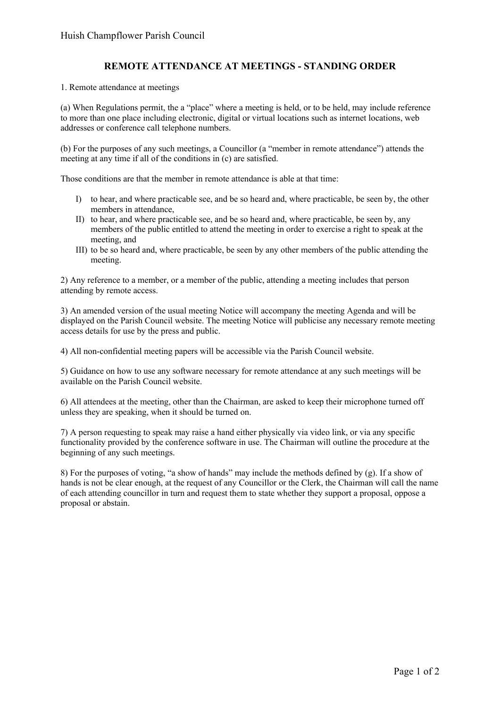## **REMOTE ATTENDANCE AT MEETINGS - STANDING ORDER**

1. Remote attendance at meetings

(a) When Regulations permit, the a "place" where a meeting is held, or to be held, may include reference to more than one place including electronic, digital or virtual locations such as internet locations, web addresses or conference call telephone numbers.

(b) For the purposes of any such meetings, a Councillor (a "member in remote attendance") attends the meeting at any time if all of the conditions in (c) are satisfied.

Those conditions are that the member in remote attendance is able at that time:

- I) to hear, and where practicable see, and be so heard and, where practicable, be seen by, the other members in attendance,
- II) to hear, and where practicable see, and be so heard and, where practicable, be seen by, any members of the public entitled to attend the meeting in order to exercise a right to speak at the meeting, and
- III) to be so heard and, where practicable, be seen by any other members of the public attending the meeting.

2) Any reference to a member, or a member of the public, attending a meeting includes that person attending by remote access.

3) An amended version of the usual meeting Notice will accompany the meeting Agenda and will be displayed on the Parish Council website. The meeting Notice will publicise any necessary remote meeting access details for use by the press and public.

4) All non-confidential meeting papers will be accessible via the Parish Council website.

5) Guidance on how to use any software necessary for remote attendance at any such meetings will be available on the Parish Council website.

6) All attendees at the meeting, other than the Chairman, are asked to keep their microphone turned off unless they are speaking, when it should be turned on.

7) A person requesting to speak may raise a hand either physically via video link, or via any specific functionality provided by the conference software in use. The Chairman will outline the procedure at the beginning of any such meetings.

8) For the purposes of voting, "a show of hands" may include the methods defined by (g). If a show of hands is not be clear enough, at the request of any Councillor or the Clerk, the Chairman will call the name of each attending councillor in turn and request them to state whether they support a proposal, oppose a proposal or abstain.